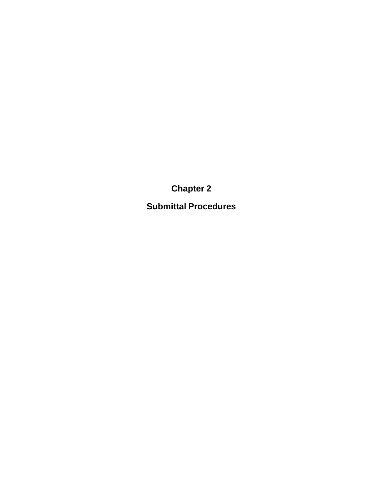**Chapter 2**

**Submittal Procedures**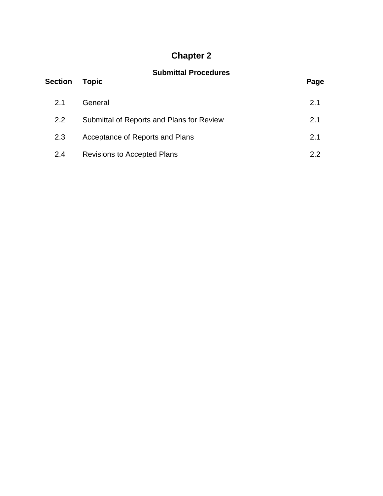# **Chapter 2**

### **Submittal Procedures**

| <b>Section</b> | <b>Topic</b>                              | Page |
|----------------|-------------------------------------------|------|
| 2.1            | General                                   | 2.1  |
| 2.2            | Submittal of Reports and Plans for Review | 2.1  |
| 2.3            | Acceptance of Reports and Plans           | 2.1  |
| 2.4            | <b>Revisions to Accepted Plans</b>        | 2.2  |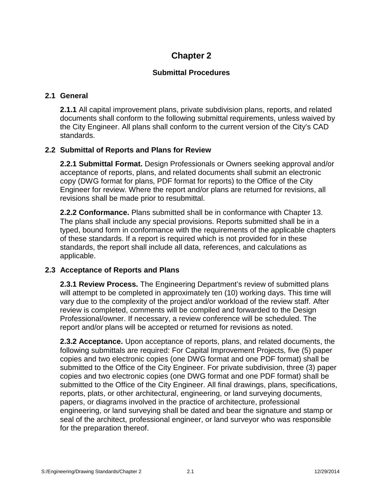## **Chapter 2**

#### **Submittal Procedures**

#### **2.1 General**

**2.1.1** All capital improvement plans, private subdivision plans, reports, and related documents shall conform to the following submittal requirements, unless waived by the City Engineer. All plans shall conform to the current version of the City's CAD standards.

#### **2.2 Submittal of Reports and Plans for Review**

**2.2.1 Submittal Format.** Design Professionals or Owners seeking approval and/or acceptance of reports, plans, and related documents shall submit an electronic copy (DWG format for plans, PDF format for reports) to the Office of the City Engineer for review. Where the report and/or plans are returned for revisions, all revisions shall be made prior to resubmittal.

**2.2.2 Conformance.** Plans submitted shall be in conformance with Chapter 13. The plans shall include any special provisions. Reports submitted shall be in a typed, bound form in conformance with the requirements of the applicable chapters of these standards. If a report is required which is not provided for in these standards, the report shall include all data, references, and calculations as applicable.

#### **2.3 Acceptance of Reports and Plans**

**2.3.1 Review Process.** The Engineering Department's review of submitted plans will attempt to be completed in approximately ten (10) working days. This time will vary due to the complexity of the project and/or workload of the review staff. After review is completed, comments will be compiled and forwarded to the Design Professional/owner. If necessary, a review conference will be scheduled. The report and/or plans will be accepted or returned for revisions as noted.

**2.3.2 Acceptance.** Upon acceptance of reports, plans, and related documents, the following submittals are required: For Capital Improvement Projects, five (5) paper copies and two electronic copies (one DWG format and one PDF format) shall be submitted to the Office of the City Engineer. For private subdivision, three (3) paper copies and two electronic copies (one DWG format and one PDF format) shall be submitted to the Office of the City Engineer. All final drawings, plans, specifications, reports, plats, or other architectural, engineering, or land surveying documents, papers, or diagrams involved in the practice of architecture, professional engineering, or land surveying shall be dated and bear the signature and stamp or seal of the architect, professional engineer, or land surveyor who was responsible for the preparation thereof.